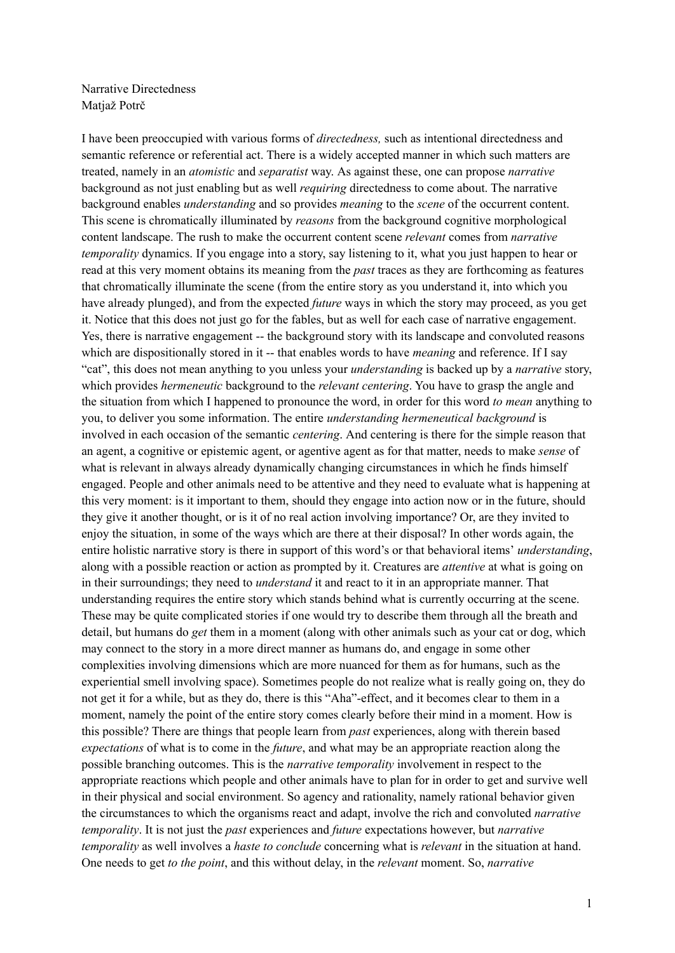Narrative Directedness Matjaž Potrč

I have been preoccupied with various forms of *directedness,* such as intentional directedness and semantic reference or referential act. There is a widely accepted manner in which such matters are treated, namely in an *atomistic* and *separatist* way. As against these, one can propose *narrative* background as not just enabling but as well *requiring* directedness to come about. The narrative background enables *understanding* and so provides *meaning* to the *scene* of the occurrent content. This scene is chromatically illuminated by *reasons* from the background cognitive morphological content landscape. The rush to make the occurrent content scene *relevant* comes from *narrative temporality* dynamics. If you engage into a story, say listening to it, what you just happen to hear or read at this very moment obtains its meaning from the *past* traces as they are forthcoming as features that chromatically illuminate the scene (from the entire story as you understand it, into which you have already plunged), and from the expected *future* ways in which the story may proceed, as you get it. Notice that this does not just go for the fables, but as well for each case of narrative engagement. Yes, there is narrative engagement -- the background story with its landscape and convoluted reasons which are dispositionally stored in it -- that enables words to have *meaning* and reference. If I say "cat", this does not mean anything to you unless your *understanding* is backed up by a *narrative* story, which provides *hermeneutic* background to the *relevant centering*. You have to grasp the angle and the situation from which I happened to pronounce the word, in order for this word *to mean* anything to you, to deliver you some information. The entire *understanding hermeneutical background* is involved in each occasion of the semantic *centering*. And centering is there for the simple reason that an agent, a cognitive or epistemic agent, or agentive agent as for that matter, needs to make *sense* of what is relevant in always already dynamically changing circumstances in which he finds himself engaged. People and other animals need to be attentive and they need to evaluate what is happening at this very moment: is it important to them, should they engage into action now or in the future, should they give it another thought, or is it of no real action involving importance? Or, are they invited to enjoy the situation, in some of the ways which are there at their disposal? In other words again, the entire holistic narrative story is there in support of this word's or that behavioral items' *understanding*, along with a possible reaction or action as prompted by it. Creatures are *attentive* at what is going on in their surroundings; they need to *understand* it and react to it in an appropriate manner. That understanding requires the entire story which stands behind what is currently occurring at the scene. These may be quite complicated stories if one would try to describe them through all the breath and detail, but humans do *get* them in a moment (along with other animals such as your cat or dog, which may connect to the story in a more direct manner as humans do, and engage in some other complexities involving dimensions which are more nuanced for them as for humans, such as the experiential smell involving space). Sometimes people do not realize what is really going on, they do not get it for a while, but as they do, there is this "Aha"-effect, and it becomes clear to them in a moment, namely the point of the entire story comes clearly before their mind in a moment. How is this possible? There are things that people learn from *past* experiences, along with therein based *expectations* of what is to come in the *future*, and what may be an appropriate reaction along the possible branching outcomes. This is the *narrative temporality* involvement in respect to the appropriate reactions which people and other animals have to plan for in order to get and survive well in their physical and social environment. So agency and rationality, namely rational behavior given the circumstances to which the organisms react and adapt, involve the rich and convoluted *narrative temporality*. It is not just the *past* experiences and *future* expectations however, but *narrative temporality* as well involves a *haste to conclude* concerning what is *relevant* in the situation at hand. One needs to get *to the point*, and this without delay, in the *relevant* moment. So, *narrative*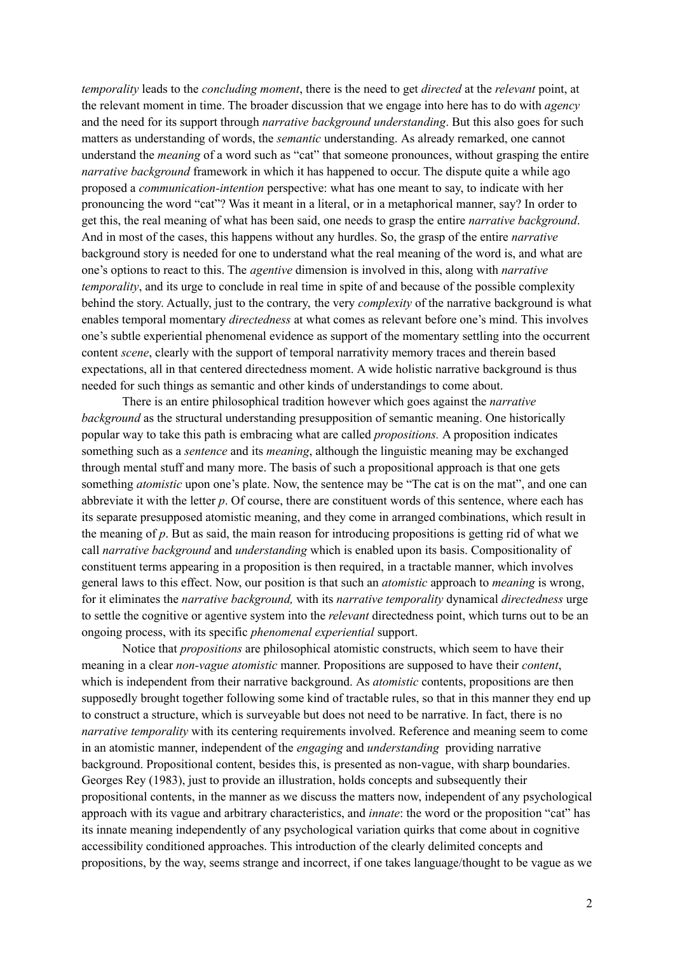*temporality* leads to the *concluding moment*, there is the need to get *directed* at the *relevant* point, at the relevant moment in time. The broader discussion that we engage into here has to do with *agency* and the need for its support through *narrative background understanding*. But this also goes for such matters as understanding of words, the *semantic* understanding. As already remarked, one cannot understand the *meaning* of a word such as "cat" that someone pronounces, without grasping the entire *narrative background* framework in which it has happened to occur. The dispute quite a while ago proposed a *communication-intention* perspective: what has one meant to say, to indicate with her pronouncing the word "cat"? Was it meant in a literal, or in a metaphorical manner, say? In order to get this, the real meaning of what has been said, one needs to grasp the entire *narrative background*. And in most of the cases, this happens without any hurdles. So, the grasp of the entire *narrative* background story is needed for one to understand what the real meaning of the word is, and what are one's options to react to this. The *agentive* dimension is involved in this, along with *narrative temporality*, and its urge to conclude in real time in spite of and because of the possible complexity behind the story. Actually, just to the contrary, the very *complexity* of the narrative background is what enables temporal momentary *directedness* at what comes as relevant before one's mind. This involves one's subtle experiential phenomenal evidence as support of the momentary settling into the occurrent content *scene*, clearly with the support of temporal narrativity memory traces and therein based expectations, all in that centered directedness moment. A wide holistic narrative background is thus needed for such things as semantic and other kinds of understandings to come about.

There is an entire philosophical tradition however which goes against the *narrative background* as the structural understanding presupposition of semantic meaning. One historically popular way to take this path is embracing what are called *propositions.* A proposition indicates something such as a *sentence* and its *meaning*, although the linguistic meaning may be exchanged through mental stuff and many more. The basis of such a propositional approach is that one gets something *atomistic* upon one's plate. Now, the sentence may be "The cat is on the mat", and one can abbreviate it with the letter *p*. Of course, there are constituent words of this sentence, where each has its separate presupposed atomistic meaning, and they come in arranged combinations, which result in the meaning of *p*. But as said, the main reason for introducing propositions is getting rid of what we call *narrative background* and *understanding* which is enabled upon its basis. Compositionality of constituent terms appearing in a proposition is then required, in a tractable manner, which involves general laws to this effect. Now, our position is that such an *atomistic* approach to *meaning* is wrong, for it eliminates the *narrative background,* with its *narrative temporality* dynamical *directedness* urge to settle the cognitive or agentive system into the *relevant* directedness point, which turns out to be an ongoing process, with its specific *phenomenal experiential* support.

Notice that *propositions* are philosophical atomistic constructs, which seem to have their meaning in a clear *non-vague atomistic* manner. Propositions are supposed to have their *content*, which is independent from their narrative background. As *atomistic* contents, propositions are then supposedly brought together following some kind of tractable rules, so that in this manner they end up to construct a structure, which is surveyable but does not need to be narrative. In fact, there is no *narrative temporality* with its centering requirements involved. Reference and meaning seem to come in an atomistic manner, independent of the *engaging* and *understanding* providing narrative background. Propositional content, besides this, is presented as non-vague, with sharp boundaries. Georges Rey (1983), just to provide an illustration, holds concepts and subsequently their propositional contents, in the manner as we discuss the matters now, independent of any psychological approach with its vague and arbitrary characteristics, and *innate*: the word or the proposition "cat" has its innate meaning independently of any psychological variation quirks that come about in cognitive accessibility conditioned approaches. This introduction of the clearly delimited concepts and propositions, by the way, seems strange and incorrect, if one takes language/thought to be vague as we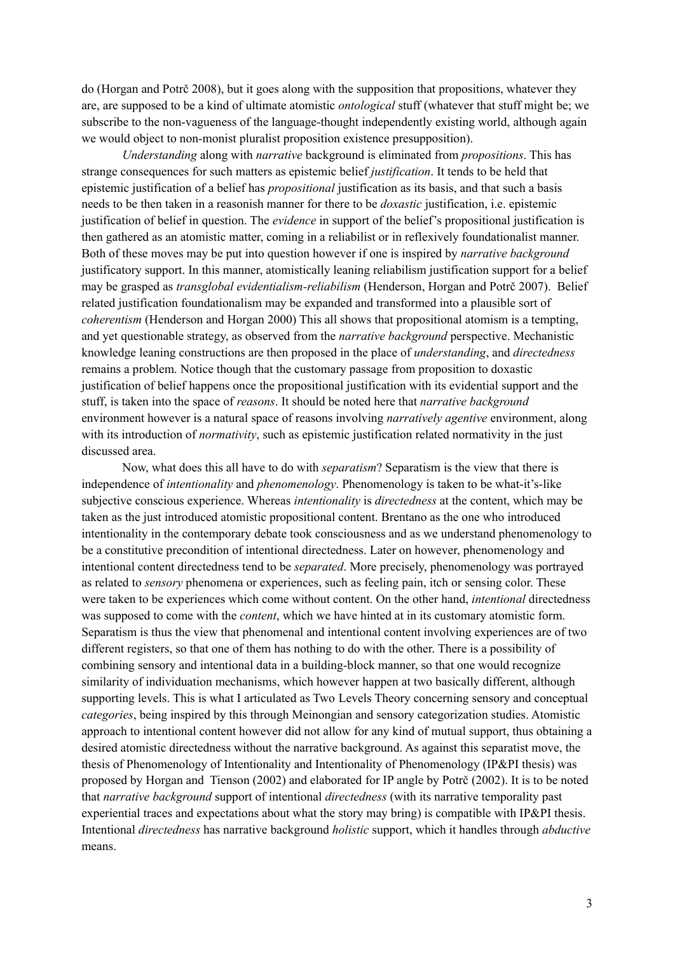do (Horgan and Potrč 2008), but it goes along with the supposition that propositions, whatever they are, are supposed to be a kind of ultimate atomistic *ontological* stuff (whatever that stuff might be; we subscribe to the non-vagueness of the language-thought independently existing world, although again we would object to non-monist pluralist proposition existence presupposition).

*Understanding* along with *narrative* background is eliminated from *propositions*. This has strange consequences for such matters as epistemic belief *justification*. It tends to be held that epistemic justification of a belief has *propositional* justification as its basis, and that such a basis needs to be then taken in a reasonish manner for there to be *doxastic* justification, i.e. epistemic justification of belief in question. The *evidence* in support of the belief's propositional justification is then gathered as an atomistic matter, coming in a reliabilist or in reflexively foundationalist manner. Both of these moves may be put into question however if one is inspired by *narrative background* justificatory support. In this manner, atomistically leaning reliabilism justification support for a belief may be grasped as *transglobal evidentialism-reliabilism* (Henderson, Horgan and Potrč 2007). Belief related justification foundationalism may be expanded and transformed into a plausible sort of *coherentism* (Henderson and Horgan 2000) This all shows that propositional atomism is a tempting, and yet questionable strategy, as observed from the *narrative background* perspective. Mechanistic knowledge leaning constructions are then proposed in the place of *understanding*, and *directedness* remains a problem. Notice though that the customary passage from proposition to doxastic justification of belief happens once the propositional justification with its evidential support and the stuff, is taken into the space of *reasons*. It should be noted here that *narrative background* environment however is a natural space of reasons involving *narratively agentive* environment, along with its introduction of *normativity*, such as epistemic justification related normativity in the just discussed area.

Now, what does this all have to do with *separatism*? Separatism is the view that there is independence of *intentionality* and *phenomenology*. Phenomenology is taken to be what-it's-like subjective conscious experience. Whereas *intentionality* is *directedness* at the content, which may be taken as the just introduced atomistic propositional content. Brentano as the one who introduced intentionality in the contemporary debate took consciousness and as we understand phenomenology to be a constitutive precondition of intentional directedness. Later on however, phenomenology and intentional content directedness tend to be *separated*. More precisely, phenomenology was portrayed as related to *sensory* phenomena or experiences, such as feeling pain, itch or sensing color. These were taken to be experiences which come without content. On the other hand, *intentional* directedness was supposed to come with the *content*, which we have hinted at in its customary atomistic form. Separatism is thus the view that phenomenal and intentional content involving experiences are of two different registers, so that one of them has nothing to do with the other. There is a possibility of combining sensory and intentional data in a building-block manner, so that one would recognize similarity of individuation mechanisms, which however happen at two basically different, although supporting levels. This is what I articulated as Two Levels Theory concerning sensory and conceptual *categories*, being inspired by this through Meinongian and sensory categorization studies. Atomistic approach to intentional content however did not allow for any kind of mutual support, thus obtaining a desired atomistic directedness without the narrative background. As against this separatist move, the thesis of Phenomenology of Intentionality and Intentionality of Phenomenology (IP&PI thesis) was proposed by Horgan and Tienson (2002) and elaborated for IP angle by Potrč (2002). It is to be noted that *narrative background* support of intentional *directedness* (with its narrative temporality past experiential traces and expectations about what the story may bring) is compatible with IP&PI thesis. Intentional *directedness* has narrative background *holistic* support, which it handles through *abductive* means.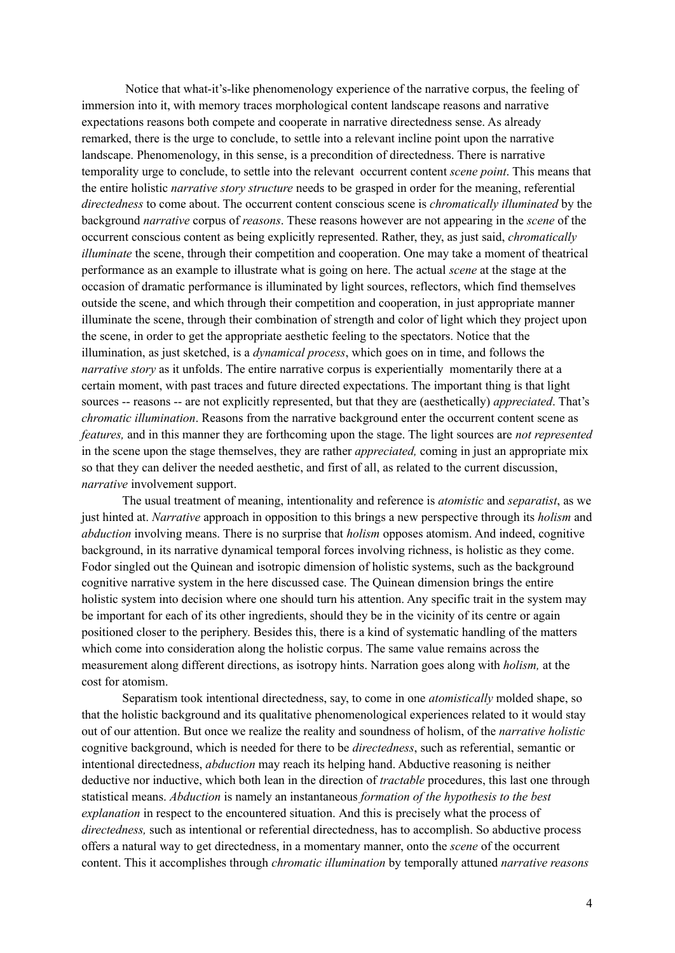Notice that what-it's-like phenomenology experience of the narrative corpus, the feeling of immersion into it, with memory traces morphological content landscape reasons and narrative expectations reasons both compete and cooperate in narrative directedness sense. As already remarked, there is the urge to conclude, to settle into a relevant incline point upon the narrative landscape. Phenomenology, in this sense, is a precondition of directedness. There is narrative temporality urge to conclude, to settle into the relevant occurrent content *scene point*. This means that the entire holistic *narrative story structure* needs to be grasped in order for the meaning, referential *directedness* to come about. The occurrent content conscious scene is *chromatically illuminated* by the background *narrative* corpus of *reasons*. These reasons however are not appearing in the *scene* of the occurrent conscious content as being explicitly represented. Rather, they, as just said, *chromatically illuminate* the scene, through their competition and cooperation. One may take a moment of theatrical performance as an example to illustrate what is going on here. The actual *scene* at the stage at the occasion of dramatic performance is illuminated by light sources, reflectors, which find themselves outside the scene, and which through their competition and cooperation, in just appropriate manner illuminate the scene, through their combination of strength and color of light which they project upon the scene, in order to get the appropriate aesthetic feeling to the spectators. Notice that the illumination, as just sketched, is a *dynamical process*, which goes on in time, and follows the *narrative story* as it unfolds. The entire narrative corpus is experientially momentarily there at a certain moment, with past traces and future directed expectations. The important thing is that light sources -- reasons -- are not explicitly represented, but that they are (aesthetically) *appreciated*. That's *chromatic illumination*. Reasons from the narrative background enter the occurrent content scene as *features,* and in this manner they are forthcoming upon the stage. The light sources are *not represented* in the scene upon the stage themselves, they are rather *appreciated,* coming in just an appropriate mix so that they can deliver the needed aesthetic, and first of all, as related to the current discussion, *narrative* involvement support.

The usual treatment of meaning, intentionality and reference is *atomistic* and *separatist*, as we just hinted at. *Narrative* approach in opposition to this brings a new perspective through its *holism* and *abduction* involving means. There is no surprise that *holism* opposes atomism. And indeed, cognitive background, in its narrative dynamical temporal forces involving richness, is holistic as they come. Fodor singled out the Quinean and isotropic dimension of holistic systems, such as the background cognitive narrative system in the here discussed case. The Quinean dimension brings the entire holistic system into decision where one should turn his attention. Any specific trait in the system may be important for each of its other ingredients, should they be in the vicinity of its centre or again positioned closer to the periphery. Besides this, there is a kind of systematic handling of the matters which come into consideration along the holistic corpus. The same value remains across the measurement along different directions, as isotropy hints. Narration goes along with *holism,* at the cost for atomism.

Separatism took intentional directedness, say, to come in one *atomistically* molded shape, so that the holistic background and its qualitative phenomenological experiences related to it would stay out of our attention. But once we realize the reality and soundness of holism, of the *narrative holistic* cognitive background, which is needed for there to be *directedness*, such as referential, semantic or intentional directedness, *abduction* may reach its helping hand. Abductive reasoning is neither deductive nor inductive, which both lean in the direction of *tractable* procedures, this last one through statistical means. *Abduction* is namely an instantaneous *formation of the hypothesis to the best explanation* in respect to the encountered situation. And this is precisely what the process of *directedness,* such as intentional or referential directedness, has to accomplish. So abductive process offers a natural way to get directedness, in a momentary manner, onto the *scene* of the occurrent content. This it accomplishes through *chromatic illumination* by temporally attuned *narrative reasons*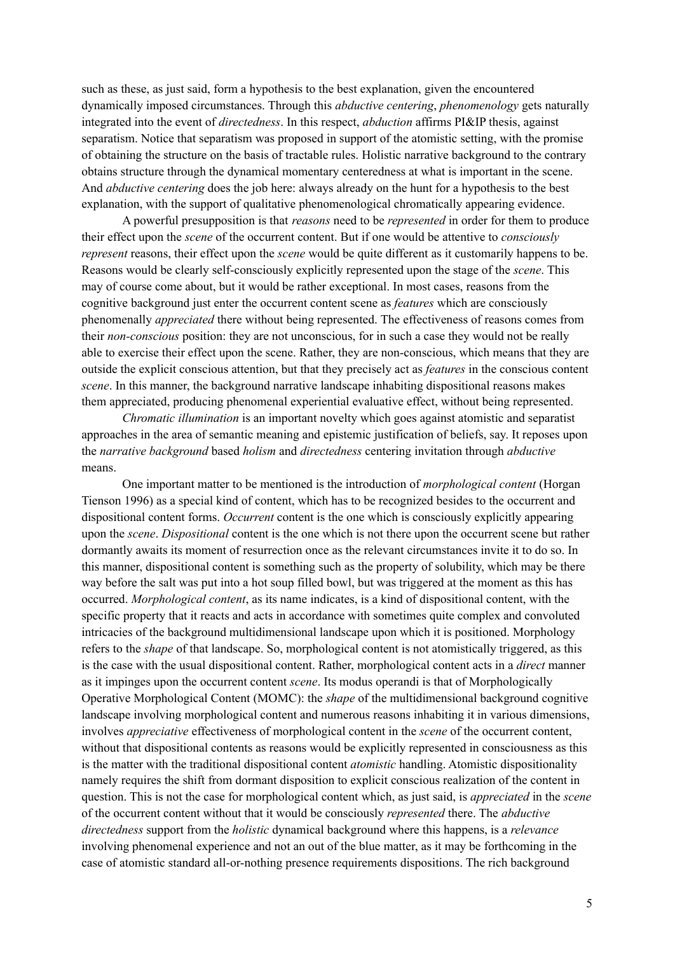such as these, as just said, form a hypothesis to the best explanation, given the encountered dynamically imposed circumstances. Through this *abductive centering*, *phenomenology* gets naturally integrated into the event of *directedness*. In this respect, *abduction* affirms PI&IP thesis, against separatism. Notice that separatism was proposed in support of the atomistic setting, with the promise of obtaining the structure on the basis of tractable rules. Holistic narrative background to the contrary obtains structure through the dynamical momentary centeredness at what is important in the scene. And *abductive centering* does the job here: always already on the hunt for a hypothesis to the best explanation, with the support of qualitative phenomenological chromatically appearing evidence.

A powerful presupposition is that *reasons* need to be *represented* in order for them to produce their effect upon the *scene* of the occurrent content. But if one would be attentive to *consciously represent* reasons, their effect upon the *scene* would be quite different as it customarily happens to be. Reasons would be clearly self-consciously explicitly represented upon the stage of the *scene*. This may of course come about, but it would be rather exceptional. In most cases, reasons from the cognitive background just enter the occurrent content scene as *features* which are consciously phenomenally *appreciated* there without being represented. The effectiveness of reasons comes from their *non-conscious* position: they are not unconscious, for in such a case they would not be really able to exercise their effect upon the scene. Rather, they are non-conscious, which means that they are outside the explicit conscious attention, but that they precisely act as *features* in the conscious content *scene*. In this manner, the background narrative landscape inhabiting dispositional reasons makes them appreciated, producing phenomenal experiential evaluative effect, without being represented.

*Chromatic illumination* is an important novelty which goes against atomistic and separatist approaches in the area of semantic meaning and epistemic justification of beliefs, say. It reposes upon the *narrative background* based *holism* and *directedness* centering invitation through *abductive* means.

One important matter to be mentioned is the introduction of *morphological content* (Horgan Tienson 1996) as a special kind of content, which has to be recognized besides to the occurrent and dispositional content forms. *Occurrent* content is the one which is consciously explicitly appearing upon the *scene*. *Dispositional* content is the one which is not there upon the occurrent scene but rather dormantly awaits its moment of resurrection once as the relevant circumstances invite it to do so. In this manner, dispositional content is something such as the property of solubility, which may be there way before the salt was put into a hot soup filled bowl, but was triggered at the moment as this has occurred. *Morphological content*, as its name indicates, is a kind of dispositional content, with the specific property that it reacts and acts in accordance with sometimes quite complex and convoluted intricacies of the background multidimensional landscape upon which it is positioned. Morphology refers to the *shape* of that landscape. So, morphological content is not atomistically triggered, as this is the case with the usual dispositional content. Rather, morphological content acts in a *direct* manner as it impinges upon the occurrent content *scene*. Its modus operandi is that of Morphologically Operative Morphological Content (MOMC): the *shape* of the multidimensional background cognitive landscape involving morphological content and numerous reasons inhabiting it in various dimensions, involves *appreciative* effectiveness of morphological content in the *scene* of the occurrent content, without that dispositional contents as reasons would be explicitly represented in consciousness as this is the matter with the traditional dispositional content *atomistic* handling. Atomistic dispositionality namely requires the shift from dormant disposition to explicit conscious realization of the content in question. This is not the case for morphological content which, as just said, is *appreciated* in the *scene* of the occurrent content without that it would be consciously *represented* there. The *abductive directedness* support from the *holistic* dynamical background where this happens, is a *relevance* involving phenomenal experience and not an out of the blue matter, as it may be forthcoming in the case of atomistic standard all-or-nothing presence requirements dispositions. The rich background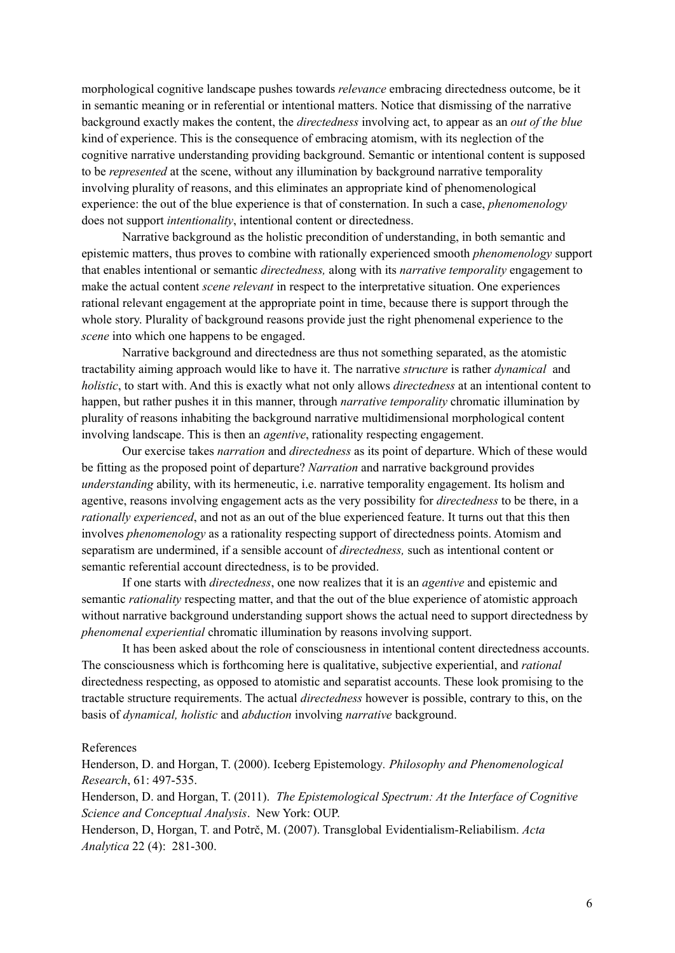morphological cognitive landscape pushes towards *relevance* embracing directedness outcome, be it in semantic meaning or in referential or intentional matters. Notice that dismissing of the narrative background exactly makes the content, the *directedness* involving act, to appear as an *out of the blue* kind of experience. This is the consequence of embracing atomism, with its neglection of the cognitive narrative understanding providing background. Semantic or intentional content is supposed to be *represented* at the scene, without any illumination by background narrative temporality involving plurality of reasons, and this eliminates an appropriate kind of phenomenological experience: the out of the blue experience is that of consternation. In such a case, *phenomenology* does not support *intentionality*, intentional content or directedness.

Narrative background as the holistic precondition of understanding, in both semantic and epistemic matters, thus proves to combine with rationally experienced smooth *phenomenology* support that enables intentional or semantic *directedness,* along with its *narrative temporality* engagement to make the actual content *scene relevant* in respect to the interpretative situation. One experiences rational relevant engagement at the appropriate point in time, because there is support through the whole story. Plurality of background reasons provide just the right phenomenal experience to the *scene* into which one happens to be engaged.

Narrative background and directedness are thus not something separated, as the atomistic tractability aiming approach would like to have it. The narrative *structure* is rather *dynamical* and *holistic*, to start with. And this is exactly what not only allows *directedness* at an intentional content to happen, but rather pushes it in this manner, through *narrative temporality* chromatic illumination by plurality of reasons inhabiting the background narrative multidimensional morphological content involving landscape. This is then an *agentive*, rationality respecting engagement.

Our exercise takes *narration* and *directedness* as its point of departure. Which of these would be fitting as the proposed point of departure? *Narration* and narrative background provides *understanding* ability, with its hermeneutic, i.e. narrative temporality engagement. Its holism and agentive, reasons involving engagement acts as the very possibility for *directedness* to be there, in a *rationally experienced*, and not as an out of the blue experienced feature. It turns out that this then involves *phenomenology* as a rationality respecting support of directedness points. Atomism and separatism are undermined, if a sensible account of *directedness,* such as intentional content or semantic referential account directedness, is to be provided.

If one starts with *directedness*, one now realizes that it is an *agentive* and epistemic and semantic *rationality* respecting matter, and that the out of the blue experience of atomistic approach without narrative background understanding support shows the actual need to support directedness by *phenomenal experiential* chromatic illumination by reasons involving support.

It has been asked about the role of consciousness in intentional content directedness accounts. The consciousness which is forthcoming here is qualitative, subjective experiential, and *rational* directedness respecting, as opposed to atomistic and separatist accounts. These look promising to the tractable structure requirements. The actual *directedness* however is possible, contrary to this, on the basis of *dynamical, holistic* and *abduction* involving *narrative* background.

## References

Henderson, D. and Horgan, T. (2000). Iceberg Epistemology*. Philosophy and Phenomenological Research*, 61: 497-535.

Henderson, D. and Horgan, T. (2011). *The Epistemological Spectrum: At the Interface of Cognitive Science and Conceptual Analysis*. New York: OUP.

Henderson, D, Horgan, T. and Potrč, M. (2007). Transglobal Evidentialism-Reliabilism. *Acta Analytica* 22 (4): 281-300.